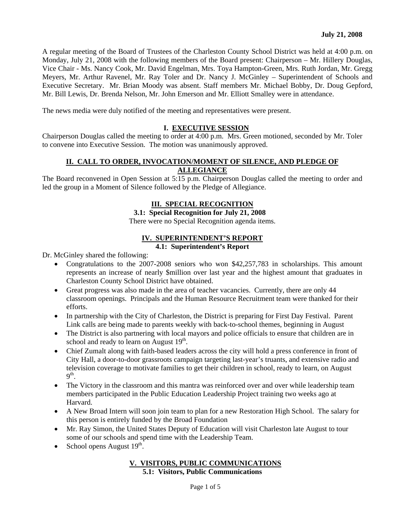A regular meeting of the Board of Trustees of the Charleston County School District was held at 4:00 p.m. on Monday, July 21, 2008 with the following members of the Board present: Chairperson – Mr. Hillery Douglas, Vice Chair - Ms. Nancy Cook, Mr. David Engelman, Mrs. Toya Hampton-Green, Mrs. Ruth Jordan, Mr. Gregg Meyers, Mr. Arthur Ravenel, Mr. Ray Toler and Dr. Nancy J. McGinley – Superintendent of Schools and Executive Secretary. Mr. Brian Moody was absent. Staff members Mr. Michael Bobby, Dr. Doug Gepford, Mr. Bill Lewis, Dr. Brenda Nelson, Mr. John Emerson and Mr. Elliott Smalley were in attendance.

The news media were duly notified of the meeting and representatives were present.

## **I. EXECUTIVE SESSION**

Chairperson Douglas called the meeting to order at 4:00 p.m. Mrs. Green motioned, seconded by Mr. Toler to convene into Executive Session. The motion was unanimously approved.

## **II. CALL TO ORDER, INVOCATION/MOMENT OF SILENCE, AND PLEDGE OF ALLEGIANCE**

The Board reconvened in Open Session at 5:15 p.m. Chairperson Douglas called the meeting to order and led the group in a Moment of Silence followed by the Pledge of Allegiance.

# **III. SPECIAL RECOGNITION**

# **3.1: Special Recognition for July 21, 2008**

There were no Special Recognition agenda items.

#### **IV. SUPERINTENDENT'S REPORT 4.1: Superintendent's Report**

Dr. McGinley shared the following:

- Congratulations to the 2007-2008 seniors who won \$42,257,783 in scholarships. This amount represents an increase of nearly \$million over last year and the highest amount that graduates in Charleston County School District have obtained.
- Great progress was also made in the area of teacher vacancies. Currently, there are only 44 classroom openings. Principals and the Human Resource Recruitment team were thanked for their efforts.
- In partnership with the City of Charleston, the District is preparing for First Day Festival. Parent Link calls are being made to parents weekly with back-to-school themes, beginning in August
- The District is also partnering with local mayors and police officials to ensure that children are in school and ready to learn on August 19<sup>th</sup>.
- Chief Zumalt along with faith-based leaders across the city will hold a press conference in front of City Hall, a door-to-door grassroots campaign targeting last-year's truants, and extensive radio and television coverage to motivate families to get their children in school, ready to learn, on August  $9<sup>th</sup>$ .
- The Victory in the classroom and this mantra was reinforced over and over while leadership team members participated in the Public Education Leadership Project training two weeks ago at Harvard.
- A New Broad Intern will soon join team to plan for a new Restoration High School. The salary for this person is entirely funded by the Broad Foundation
- Mr. Ray Simon, the United States Deputy of Education will visit Charleston late August to tour some of our schools and spend time with the Leadership Team.
- School opens August  $19<sup>th</sup>$ .

### **V. VISITORS, PUBLIC COMMUNICATIONS 5.1: Visitors, Public Communications**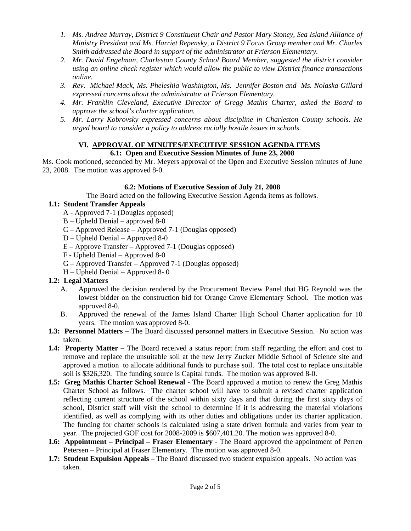- *1. Ms. Andrea Murray, District 9 Constituent Chair and Pastor Mary Stoney, Sea Island Alliance of Ministry President and Ms. Harriet Repensky, a District 9 Focus Group member and Mr. Charles Smith addressed the Board in support of the administrator at Frierson Elementary.*
- *2. Mr. David Engelman, Charleston County School Board Member, suggested the district consider using an online check register which would allow the public to view District finance transactions online.*
- *3. Rev. Michael Mack, Ms. Pheleshia Washington, Ms. Jennifer Boston and Ms. Nolaska Gillard expressed concerns about the administrator at Frierson Elementary.*
- *4. Mr. Franklin Cleveland, Executive Director of Gregg Mathis Charter, asked the Board to approve the school's charter application.*
- *5. Mr. Larry Kobrovsky expressed concerns about discipline in Charleston County schools. He urged board to consider a policy to address racially hostile issues in schools.*

# **VI. APPROVAL OF MINUTES/EXECUTIVE SESSION AGENDA ITEMS**

# **6.1: Open and Executive Session Minutes of June 23, 2008**

Ms. Cook motioned, seconded by Mr. Meyers approval of the Open and Executive Session minutes of June 23, 2008. The motion was approved 8-0.

# **6.2: Motions of Executive Session of July 21, 2008**

The Board acted on the following Executive Session Agenda items as follows.

# **1.1: Student Transfer Appeals**

- A Approved 7-1 (Douglas opposed)
- B Upheld Denial approved 8-0
- C Approved Release Approved 7-1 (Douglas opposed)
- D Upheld Denial Approved 8-0
- E Approve Transfer Approved 7-1 (Douglas opposed)
- F Upheld Denial Approved 8-0
- G Approved Transfer Approved 7-1 (Douglas opposed)
- H Upheld Denial Approved 8- 0

# **1.2: Legal Matters**

- A. Approved the decision rendered by the Procurement Review Panel that HG Reynold was the lowest bidder on the construction bid for Orange Grove Elementary School. The motion was approved 8-0.
- B. Approved the renewal of the James Island Charter High School Charter application for 10 years. The motion was approved 8-0.
- **1.3: Personnel Matters –** The Board discussed personnel matters in Executive Session. No action was taken.
- **1.4: Property Matter –** The Board received a status report from staff regarding the effort and cost to remove and replace the unsuitable soil at the new Jerry Zucker Middle School of Science site and approved a motion to allocate additional funds to purchase soil. The total cost to replace unsuitable soil is \$326,320. The funding source is Capital funds. The motion was approved 8-0.
- **1.5: Greg Mathis Charter School Renewal** The Board approved a motion to renew the Greg Mathis Charter School as follows. The charter school will have to submit a revised charter application reflecting current structure of the school within sixty days and that during the first sixty days of school, District staff will visit the school to determine if it is addressing the material violations identified, as well as complying with its other duties and obligations under its charter application. The funding for charter schools is calculated using a state driven formula and varies from year to year. The projected GOF cost for 2008-2009 is \$607,401.20. The motion was approved 8-0.
- **1.6: Appointment Principal Fraser Elementary** The Board approved the appointment of Perren Petersen – Principal at Fraser Elementary. The motion was approved 8-0.
- **1.7: Student Expulsion Appeals** The Board discussed two student expulsion appeals. No action was taken.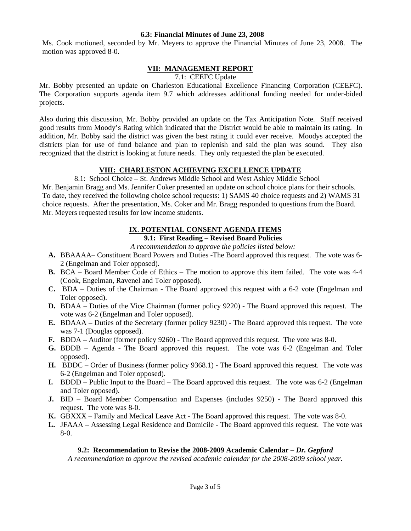#### **6.3: Financial Minutes of June 23, 2008**

Ms. Cook motioned, seconded by Mr. Meyers to approve the Financial Minutes of June 23, 2008. The motion was approved 8-0.

# **VII: MANAGEMENT REPORT**

7.1: CEEFC Update

Mr. Bobby presented an update on Charleston Educational Excellence Financing Corporation (CEEFC). The Corporation supports agenda item 9.7 which addresses additional funding needed for under-bided projects.

Also during this discussion, Mr. Bobby provided an update on the Tax Anticipation Note. Staff received good results from Moody's Rating which indicated that the District would be able to maintain its rating. In addition, Mr. Bobby said the district was given the best rating it could ever receive. Moodys accepted the districts plan for use of fund balance and plan to replenish and said the plan was sound. They also recognized that the district is looking at future needs. They only requested the plan be executed.

## **VIII: CHARLESTON ACHIEVING EXCELLENCE UPDATE**

8.1: School Choice – St. Andrews Middle School and West Ashley Middle School Mr. Benjamin Bragg and Ms. Jennifer Coker presented an update on school choice plans for their schools. To date, they received the following choice school requests: 1) SAMS 40 choice requests and 2) WAMS 31 choice requests. After the presentation, Ms. Coker and Mr. Bragg responded to questions from the Board. Mr. Meyers requested results for low income students.

# **IX**. **POTENTIAL CONSENT AGENDA ITEMS**

# **9.1: First Reading – Revised Board Policies**

*A recommendation to approve the policies listed below:* 

- **A.** BBAAAAConstituent Board Powers and Duties -The Board approved this request. The vote was 6- 2 (Engelman and Toler opposed).
- **B.** BCA Board Member Code of Ethics The motion to approve this item failed. The vote was 4-4 (Cook, Engelman, Ravenel and Toler opposed).
- **C.** BDA Duties of the Chairman The Board approved this request with a 6-2 vote (Engelman and Toler opposed).
- **D.** BDAA Duties of the Vice Chairman (former policy 9220) The Board approved this request. The vote was 6-2 (Engelman and Toler opposed).
- **E.** BDAAA Duties of the Secretary (former policy 9230) The Board approved this request. The vote was 7-1 (Douglas opposed).
- **F.** BDDA Auditor (former policy 9260) The Board approved this request. The vote was 8-0.
- **G.** BDDB Agenda The Board approved this request. The vote was 6-2 (Engelman and Toler opposed).
- **H.** BDDC Order of Business (former policy 9368.1) The Board approved this request. The vote was 6-2 (Engelman and Toler opposed).
- **I.** BDDD Public Input to the Board The Board approved this request. The vote was 6-2 (Engelman and Toler opposed).
- **J.** BID Board Member Compensation and Expenses (includes 9250) The Board approved this request. The vote was 8-0.
- **K.** GBXXX Family and Medical Leave Act The Board approved this request. The vote was 8-0.
- **L.** JFAAA Assessing Legal Residence and Domicile The Board approved this request. The vote was 8-0.

# **9.2: Recommendation to Revise the 2008-2009 Academic Calendar –** *Dr. Gepford*

*A recommendation to approve the revised academic calendar for the 2008-2009 school year.*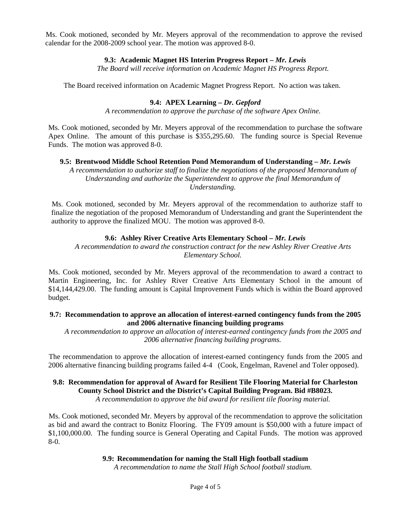Ms. Cook motioned, seconded by Mr. Meyers approval of the recommendation to approve the revised calendar for the 2008-2009 school year. The motion was approved 8-0.

## **9.3: Academic Magnet HS Interim Progress Report –** *Mr. Lewis*

*The Board will receive information on Academic Magnet HS Progress Report.* 

The Board received information on Academic Magnet Progress Report. No action was taken.

# **9.4: APEX Learning –** *Dr. Gepford*

*A recommendation to approve the purchase of the software Apex Online.*

Ms. Cook motioned, seconded by Mr. Meyers approval of the recommendation to purchase the software Apex Online. The amount of this purchase is \$355,295.60. The funding source is Special Revenue Funds. The motion was approved 8-0.

# **9.5: Brentwood Middle School Retention Pond Memorandum of Understanding –** *Mr. Lewis*

*A recommendation to authorize staff to finalize the negotiations of the proposed Memorandum of Understanding and authorize the Superintendent to approve the final Memorandum of Understanding.* 

Ms. Cook motioned, seconded by Mr. Meyers approval of the recommendation to authorize staff to finalize the negotiation of the proposed Memorandum of Understanding and grant the Superintendent the authority to approve the finalized MOU. The motion was approved 8-0.

# **9.6: Ashley River Creative Arts Elementary School –** *Mr. Lewis*

*A recommendation to award the construction contract for the new Ashley River Creative Arts Elementary School.* 

Ms. Cook motioned, seconded by Mr. Meyers approval of the recommendation to award a contract to Martin Engineering, Inc. for Ashley River Creative Arts Elementary School in the amount of \$14,144,429.00. The funding amount is Capital Improvement Funds which is within the Board approved budget.

## **9.7: Recommendation to approve an allocation of interest-earned contingency funds from the 2005 and 2006 alternative financing building programs**

*A recommendation to approve an allocation of interest-earned contingency funds from the 2005 and 2006 alternative financing building programs.* 

The recommendation to approve the allocation of interest-earned contingency funds from the 2005 and 2006 alternative financing building programs failed 4-4 (Cook, Engelman, Ravenel and Toler opposed).

# **9.8: Recommendation for approval of Award for Resilient Tile Flooring Material for Charleston County School District and the District's Capital Building Program. Bid #B8023.**

*A recommendation to approve the bid award for resilient tile flooring material.* 

Ms. Cook motioned, seconded Mr. Meyers by approval of the recommendation to approve the solicitation as bid and award the contract to Bonitz Flooring. The FY09 amount is \$50,000 with a future impact of \$1,100,000.00. The funding source is General Operating and Capital Funds. The motion was approved 8-0.

## **9.9: Recommendation for naming the Stall High football stadium**

*A recommendation to name the Stall High School football stadium.*